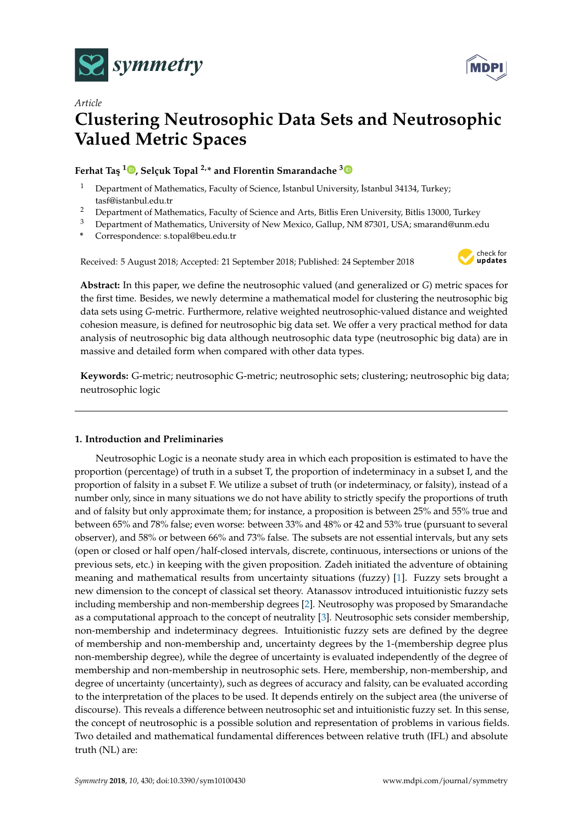



# *Article* **Clustering Neutrosophic Data Sets and Neutrosophic Valued Metric Spaces**

# **Ferhat Ta¸s <sup>1</sup> [,](https://orcid.org/0000-0001-5903-2881) Selçuk Topal 2,\* and Florentin Smarandache [3](https://orcid.org/0000-0002-5560-5926)**

- Department of Mathematics, Faculty of Science, İstanbul University, İstanbul 34134, Turkey; tasf@istanbul.edu.tr
- <sup>2</sup> Department of Mathematics, Faculty of Science and Arts, Bitlis Eren University, Bitlis 13000, Turkey
- <sup>3</sup> Department of Mathematics, University of New Mexico, Gallup, NM 87301, USA; smarand@unm.edu
- **\*** Correspondence: s.topal@beu.edu.tr

Received: 5 August 2018; Accepted: 21 September 2018; Published: 24 September 2018



**Abstract:** In this paper, we define the neutrosophic valued (and generalized or *G*) metric spaces for the first time. Besides, we newly determine a mathematical model for clustering the neutrosophic big data sets using *G*-metric. Furthermore, relative weighted neutrosophic-valued distance and weighted cohesion measure, is defined for neutrosophic big data set. We offer a very practical method for data analysis of neutrosophic big data although neutrosophic data type (neutrosophic big data) are in massive and detailed form when compared with other data types.

**Keywords:** G-metric; neutrosophic G-metric; neutrosophic sets; clustering; neutrosophic big data; neutrosophic logic

## **1. Introduction and Preliminaries**

Neutrosophic Logic is a neonate study area in which each proposition is estimated to have the proportion (percentage) of truth in a subset T, the proportion of indeterminacy in a subset I, and the proportion of falsity in a subset F. We utilize a subset of truth (or indeterminacy, or falsity), instead of a number only, since in many situations we do not have ability to strictly specify the proportions of truth and of falsity but only approximate them; for instance, a proposition is between 25% and 55% true and between 65% and 78% false; even worse: between 33% and 48% or 42 and 53% true (pursuant to several observer), and 58% or between 66% and 73% false. The subsets are not essential intervals, but any sets (open or closed or half open/half-closed intervals, discrete, continuous, intersections or unions of the previous sets, etc.) in keeping with the given proposition. Zadeh initiated the adventure of obtaining meaning and mathematical results from uncertainty situations (fuzzy) [\[1\]](#page-10-0). Fuzzy sets brought a new dimension to the concept of classical set theory. Atanassov introduced intuitionistic fuzzy sets including membership and non-membership degrees [\[2\]](#page-10-1). Neutrosophy was proposed by Smarandache as a computational approach to the concept of neutrality [\[3\]](#page-10-2). Neutrosophic sets consider membership, non-membership and indeterminacy degrees. Intuitionistic fuzzy sets are defined by the degree of membership and non-membership and, uncertainty degrees by the 1-(membership degree plus non-membership degree), while the degree of uncertainty is evaluated independently of the degree of membership and non-membership in neutrosophic sets. Here, membership, non-membership, and degree of uncertainty (uncertainty), such as degrees of accuracy and falsity, can be evaluated according to the interpretation of the places to be used. It depends entirely on the subject area (the universe of discourse). This reveals a difference between neutrosophic set and intuitionistic fuzzy set. In this sense, the concept of neutrosophic is a possible solution and representation of problems in various fields. Two detailed and mathematical fundamental differences between relative truth (IFL) and absolute truth (NL) are: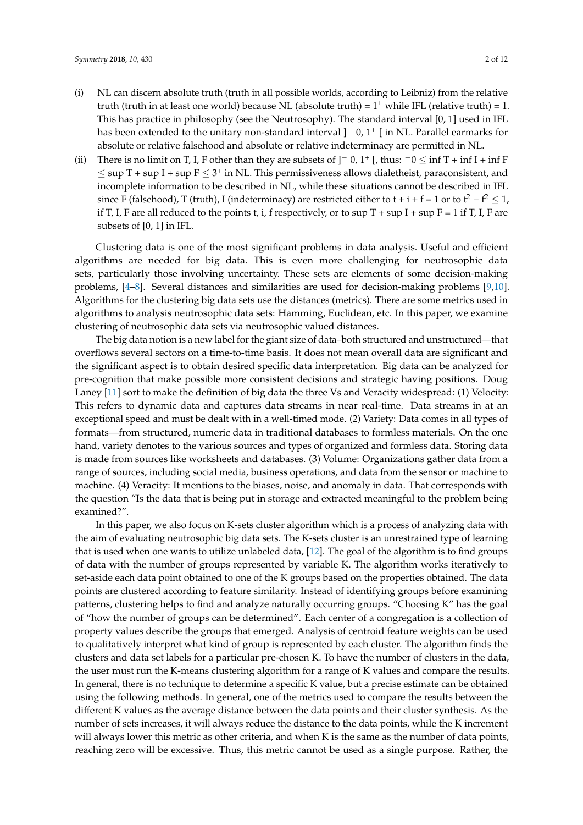- (i) NL can discern absolute truth (truth in all possible worlds, according to Leibniz) from the relative truth (truth in at least one world) because NL (absolute truth) =  $1^+$  while IFL (relative truth) = 1. This has practice in philosophy (see the Neutrosophy). The standard interval [0, 1] used in IFL has been extended to the unitary non-standard interval ]<sup>−</sup> 0, 1<sup>+</sup> [ in NL. Parallel earmarks for absolute or relative falsehood and absolute or relative indeterminacy are permitted in NL.
- (ii) There is no limit on T, I, F other than they are subsets of  $]$ <sup>-</sup> 0, 1<sup>+</sup> [, thus:  $^-0 \leq \inf T + \inf I + \inf F$  $\leq$  sup T + sup I + sup F  $\leq$  3<sup>+</sup> in NL. This permissiveness allows dialetheist, paraconsistent, and incomplete information to be described in NL, while these situations cannot be described in IFL since F (falsehood), T (truth), I (indeterminacy) are restricted either to  $t + i + f = 1$  or to  $t^2 + f^2 \le 1$ , if T, I, F are all reduced to the points t, i, f respectively, or to sup  $T + \sup T + \sup F = 1$  if T, I, F are subsets of [0, 1] in IFL.

Clustering data is one of the most significant problems in data analysis. Useful and efficient algorithms are needed for big data. This is even more challenging for neutrosophic data sets, particularly those involving uncertainty. These sets are elements of some decision-making problems, [\[4–](#page-10-3)[8\]](#page-11-0). Several distances and similarities are used for decision-making problems [\[9,](#page-11-1)[10\]](#page-11-2). Algorithms for the clustering big data sets use the distances (metrics). There are some metrics used in algorithms to analysis neutrosophic data sets: Hamming, Euclidean, etc. In this paper, we examine clustering of neutrosophic data sets via neutrosophic valued distances.

The big data notion is a new label for the giant size of data–both structured and unstructured—that overflows several sectors on a time-to-time basis. It does not mean overall data are significant and the significant aspect is to obtain desired specific data interpretation. Big data can be analyzed for pre-cognition that make possible more consistent decisions and strategic having positions. Doug Laney [\[11\]](#page-11-3) sort to make the definition of big data the three Vs and Veracity widespread: (1) Velocity: This refers to dynamic data and captures data streams in near real-time. Data streams in at an exceptional speed and must be dealt with in a well-timed mode. (2) Variety: Data comes in all types of formats—from structured, numeric data in traditional databases to formless materials. On the one hand, variety denotes to the various sources and types of organized and formless data. Storing data is made from sources like worksheets and databases. (3) Volume: Organizations gather data from a range of sources, including social media, business operations, and data from the sensor or machine to machine. (4) Veracity: It mentions to the biases, noise, and anomaly in data. That corresponds with the question "Is the data that is being put in storage and extracted meaningful to the problem being examined?".

In this paper, we also focus on K-sets cluster algorithm which is a process of analyzing data with the aim of evaluating neutrosophic big data sets. The K-sets cluster is an unrestrained type of learning that is used when one wants to utilize unlabeled data, [\[12\]](#page-11-4). The goal of the algorithm is to find groups of data with the number of groups represented by variable K. The algorithm works iteratively to set-aside each data point obtained to one of the K groups based on the properties obtained. The data points are clustered according to feature similarity. Instead of identifying groups before examining patterns, clustering helps to find and analyze naturally occurring groups. "Choosing K" has the goal of "how the number of groups can be determined". Each center of a congregation is a collection of property values describe the groups that emerged. Analysis of centroid feature weights can be used to qualitatively interpret what kind of group is represented by each cluster. The algorithm finds the clusters and data set labels for a particular pre-chosen K. To have the number of clusters in the data, the user must run the K-means clustering algorithm for a range of K values and compare the results. In general, there is no technique to determine a specific K value, but a precise estimate can be obtained using the following methods. In general, one of the metrics used to compare the results between the different K values as the average distance between the data points and their cluster synthesis. As the number of sets increases, it will always reduce the distance to the data points, while the K increment will always lower this metric as other criteria, and when K is the same as the number of data points, reaching zero will be excessive. Thus, this metric cannot be used as a single purpose. Rather, the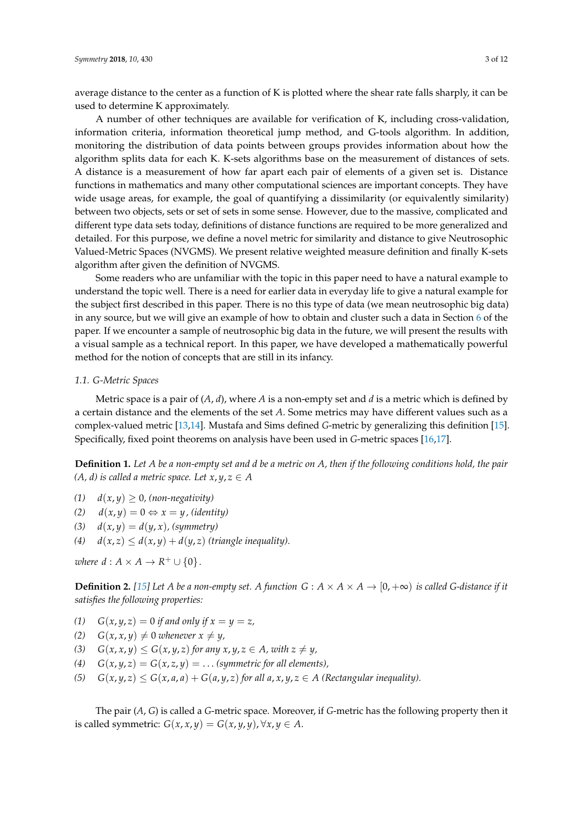average distance to the center as a function of K is plotted where the shear rate falls sharply, it can be used to determine K approximately.

A number of other techniques are available for verification of K, including cross-validation, information criteria, information theoretical jump method, and G-tools algorithm. In addition, monitoring the distribution of data points between groups provides information about how the algorithm splits data for each K. K-sets algorithms base on the measurement of distances of sets. A distance is a measurement of how far apart each pair of elements of a given set is. Distance functions in mathematics and many other computational sciences are important concepts. They have wide usage areas, for example, the goal of quantifying a dissimilarity (or equivalently similarity) between two objects, sets or set of sets in some sense. However, due to the massive, complicated and different type data sets today, definitions of distance functions are required to be more generalized and detailed. For this purpose, we define a novel metric for similarity and distance to give Neutrosophic Valued-Metric Spaces (NVGMS). We present relative weighted measure definition and finally K-sets algorithm after given the definition of NVGMS.

Some readers who are unfamiliar with the topic in this paper need to have a natural example to understand the topic well. There is a need for earlier data in everyday life to give a natural example for the subject first described in this paper. There is no this type of data (we mean neutrosophic big data) in any source, but we will give an example of how to obtain and cluster such a data in Section [6](#page-9-0) of the paper. If we encounter a sample of neutrosophic big data in the future, we will present the results with a visual sample as a technical report. In this paper, we have developed a mathematically powerful method for the notion of concepts that are still in its infancy.

## *1.1. G-Metric Spaces*

Metric space is a pair of (*A*, *d*), where *A* is a non-empty set and *d* is a metric which is defined by a certain distance and the elements of the set *A*. Some metrics may have different values such as a complex-valued metric [\[13](#page-11-5)[,14\]](#page-11-6). Mustafa and Sims defined *G*-metric by generalizing this definition [\[15\]](#page-11-7). Specifically, fixed point theorems on analysis have been used in *G*-metric spaces [\[16,](#page-11-8)[17\]](#page-11-9).

**Definition 1.** *Let A be a non-empty set and d be a metric on A, then if the following conditions hold, the pair (A, d) is called a metric space. Let*  $x, y, z \in A$ 

- $d(x, y) \geq 0$ , (non-negativity)
- $d(x, y) = 0 \Leftrightarrow x = y$ , *(identity)*
- (3)  $d(x, y) = d(y, x)$ , (symmetry)
- (4)  $d(x, z) \leq d(x, y) + d(y, z)$  (triangle inequality).

*where*  $d : A \times A \rightarrow R^+ \cup \{0\}$ .

**Definition 2.** [\[15\]](#page-11-7) Let *A* be a non-empty set. *A* function  $G : A \times A \times A \rightarrow [0, +\infty)$  is called G-distance if it *satisfies the following properties:*

- (1)  $G(x, y, z) = 0$  *if and only if*  $x = y = z$ ,
- $(2)$  *G*(*x*, *x*, *y*)  $\neq$  0 *whenever x*  $\neq$  *y*,
- (3)  $G(x, x, y) \le G(x, y, z)$  *for any*  $x, y, z \in A$ *, with*  $z \ne y$ *,*
- (4)  $G(x, y, z) = G(x, z, y) = \dots$  (symmetric for all elements),
- (5)  $G(x, y, z) \le G(x, a, a) + G(a, y, z)$  *for all a, x, y, z*  $\in$  *A* (Rectangular inequality).

The pair (*A*, *G*) is called a *G*-metric space. Moreover, if *G*-metric has the following property then it is called symmetric:  $G(x, x, y) = G(x, y, y)$ ,  $\forall x, y \in A$ .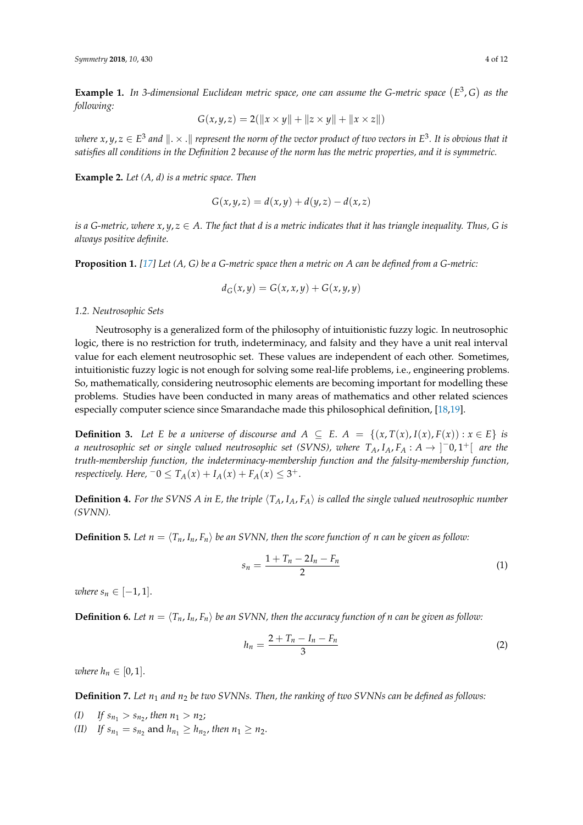**Example 1.** In 3-dimensional Euclidean metric space, one can assume the G-metric space  $(E^3, G)$  as the *following:*

$$
G(x, y, z) = 2(||x \times y|| + ||z \times y|| + ||x \times z||)
$$

where  $x,y,z\in E^3$  and  $\|.\times .\|$  represent the norm of the vector product of two vectors in  $E^3.$  It is obvious that it *satisfies all conditions in the Definition 2 because of the norm has the metric properties, and it is symmetric.*

**Example 2.** *Let (A, d) is a metric space. Then*

$$
G(x, y, z) = d(x, y) + d(y, z) - d(x, z)
$$

*is a G-metric, where x*, *y*, *z* ∈ *A. The fact that d is a metric indicates that it has triangle inequality. Thus, G is always positive definite.*

**Proposition 1.** *[\[17\]](#page-11-9) Let (A, G) be a G-metric space then a metric on A can be defined from a G-metric:*

$$
d_G(x, y) = G(x, x, y) + G(x, y, y)
$$

*1.2. Neutrosophic Sets*

Neutrosophy is a generalized form of the philosophy of intuitionistic fuzzy logic. In neutrosophic logic, there is no restriction for truth, indeterminacy, and falsity and they have a unit real interval value for each element neutrosophic set. These values are independent of each other. Sometimes, intuitionistic fuzzy logic is not enough for solving some real-life problems, i.e., engineering problems. So, mathematically, considering neutrosophic elements are becoming important for modelling these problems. Studies have been conducted in many areas of mathematics and other related sciences especially computer science since Smarandache made this philosophical definition, [\[18](#page-11-10)[,19\]](#page-11-11).

**Definition 3.** Let E be a universe of discourse and  $A \subseteq E$ .  $A = \{(x, T(x), I(x), F(x)) : x \in E\}$  is *a* neutrosophic set or single valued neutrosophic set (SVNS), where  $T_A$ ,  $I_A$ ,  $F_A$  :  $A \rightarrow ]-0,1^+[$  are the *truth-membership function, the indeterminacy-membership function and the falsity-membership function, respectively. Here,*  $^-0 \leq T_A(x) + I_A(x) + F_A(x) \leq 3^+$ .

**Definition 4.** For the SVNS A in E, the triple  $\langle T_A, I_A, F_A \rangle$  is called the single valued neutrosophic number *(SVNN).*

**Definition 5.** Let  $n = \langle T_n, I_n, F_n \rangle$  be an SVNN, then the score function of n can be given as follow:

$$
s_n = \frac{1 + T_n - 2I_n - F_n}{2} \tag{1}
$$

*where*  $s_n \in [-1, 1]$ .

**Definition 6.** Let  $n = \langle T_n, I_n, F_n \rangle$  be an SVNN, then the accuracy function of n can be given as follow:

$$
h_n = \frac{2 + T_n - I_n - F_n}{3} \tag{2}
$$

*where*  $h_n \in [0, 1]$ .

**Definition 7.** *Let n*<sup>1</sup> *and n*<sup>2</sup> *be two SVNNs. Then, the ranking of two SVNNs can be defined as follows:*

*(I) If*  $s_{n_1} > s_{n_2}$ , then  $n_1 > n_2$ ; *(II) If*  $s_{n_1} = s_{n_2}$  and  $h_{n_1} \ge h_{n_2}$ , then  $n_1 \ge n_2$ .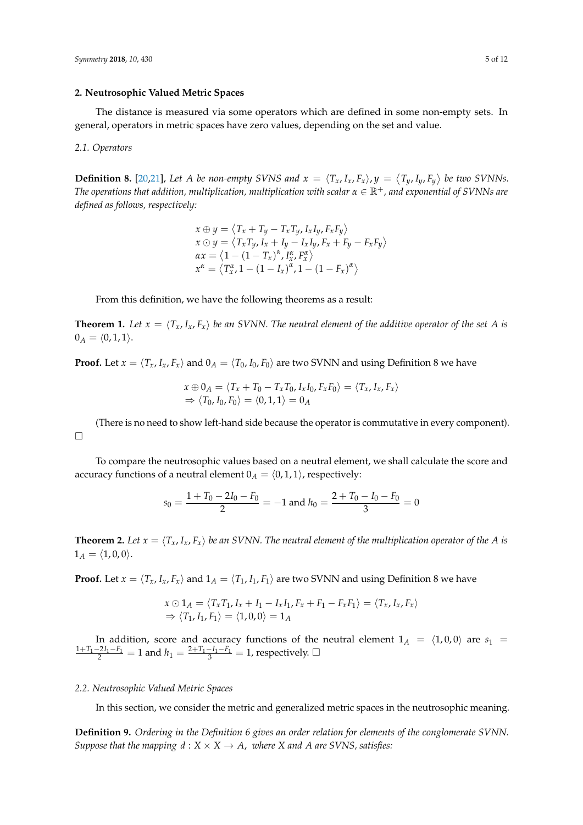## **2. Neutrosophic Valued Metric Spaces**

The distance is measured via some operators which are defined in some non-empty sets. In general, operators in metric spaces have zero values, depending on the set and value.

#### *2.1. Operators*

**Definition 8.** [\[20,](#page-11-12)[21\]](#page-11-13), Let A be non-empty SVNS and  $x = \langle T_x, I_x, F_x \rangle$ ,  $y = \langle T_y, I_y, F_y \rangle$  be two SVNNs. *The operations that addition, multiplication, multiplication with scalar*  $α ∈ ℝ<sup>+</sup>$ *, and exponential of SVNNs are defined as follows, respectively:*

$$
x \oplus y = \langle T_x + T_y - T_x T_y, I_x I_y, F_x F_y \rangle
$$
  
\n
$$
x \odot y = \langle T_x T_y, I_x + I_y - I_x I_y, F_x + F_y - F_x F_y \rangle
$$
  
\n
$$
\alpha x = \langle 1 - (1 - T_x)^{\alpha}, I_x^{\alpha}, F_x^{\alpha} \rangle
$$
  
\n
$$
x^{\alpha} = \langle T_x^{\alpha}, 1 - (1 - I_x)^{\alpha}, 1 - (1 - F_x)^{\alpha} \rangle
$$

From this definition, we have the following theorems as a result:

**Theorem 1.** Let  $x = \langle T_x, I_x, F_x \rangle$  be an SVNN. The neutral element of the additive operator of the set A is  $0_A = (0, 1, 1).$ 

**Proof.** Let  $x = \langle T_x, I_x, F_x \rangle$  and  $0_A = \langle T_0, I_0, F_0 \rangle$  are two SVNN and using Definition 8 we have

$$
x \oplus 0_A = \langle T_x + T_0 - T_x T_0, I_x I_0, F_x F_0 \rangle = \langle T_x, I_x, F_x \rangle
$$
  
\n
$$
\Rightarrow \langle T_0, I_0, F_0 \rangle = \langle 0, 1, 1 \rangle = 0_A
$$

(There is no need to show left-hand side because the operator is commutative in every component).  $\Box$ 

To compare the neutrosophic values based on a neutral element, we shall calculate the score and accuracy functions of a neutral element  $0_A = (0, 1, 1)$ , respectively:

$$
s_0 = \frac{1 + T_0 - 2I_0 - F_0}{2} = -1
$$
 and  $h_0 = \frac{2 + T_0 - I_0 - F_0}{3} = 0$ 

**Theorem 2.** Let  $x = \langle T_x, I_x, F_x \rangle$  be an SVNN. The neutral element of the multiplication operator of the A is  $1_A = \langle 1, 0, 0 \rangle$ .

**Proof.** Let  $x = \langle T_x, I_x, F_x \rangle$  and  $1_A = \langle T_1, I_1, F_1 \rangle$  are two SVNN and using Definition 8 we have

$$
x \odot 1_A = \langle T_x T_1, I_x + I_1 - I_x I_1, F_x + F_1 - F_x F_1 \rangle = \langle T_x, I_x, F_x \rangle
$$
  
\n
$$
\Rightarrow \langle T_1, I_1, F_1 \rangle = \langle 1, 0, 0 \rangle = 1_A
$$

In addition, score and accuracy functions of the neutral element  $1_A = \langle 1, 0, 0 \rangle$  are  $s_1$  $\frac{1+T_1-2I_1-F_1}{2}$  = 1 and  $h_1 = \frac{2+T_1-I_1-F_1}{3}$  = 1, respectively. □

## *2.2. Neutrosophic Valued Metric Spaces*

In this section, we consider the metric and generalized metric spaces in the neutrosophic meaning.

**Definition 9.** *Ordering in the Definition 6 gives an order relation for elements of the conglomerate SVNN. Suppose that the mapping*  $d : X \times X \rightarrow A$ *, where X and A are SVNS, satisfies:*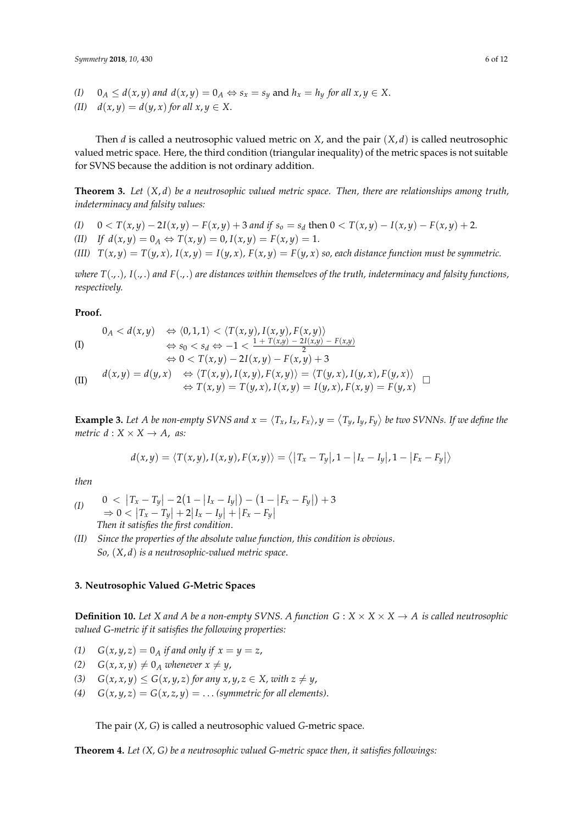*(I)*  $0_A \le d(x, y)$  *and*  $d(x, y) = 0_A \Leftrightarrow s_x = s_y$  and  $h_x = h_y$  for all  $x, y \in X$ .

(*II)*  $d(x, y) = d(y, x)$  *for all*  $x, y \in X$ .

Then *d* is called a neutrosophic valued metric on *X*, and the pair  $(X, d)$  is called neutrosophic valued metric space. Here, the third condition (triangular inequality) of the metric spaces is not suitable for SVNS because the addition is not ordinary addition.

**Theorem 3.** *Let* (*X*, *d*) *be a neutrosophic valued metric space. Then, there are relationships among truth, indeterminacy and falsity values:*

- (I)  $0 < T(x,y) 2I(x,y) F(x,y) + 3$  and if  $s_o = s_d$  then  $0 < T(x,y) I(x,y) F(x,y) + 2$ .
- (*II) If*  $d(x, y) = 0$ <sup>*A*</sup>  $\Leftrightarrow T(x, y) = 0$ ,  $I(x, y) = F(x, y) = 1$ .
- (III)  $T(x,y) = T(y,x)$ ,  $I(x,y) = I(y,x)$ ,  $F(x,y) = F(y,x)$  so, each distance function must be symmetric.

*where T*(., .)*, I*(., .) *and F*(., .) *are distances within themselves of the truth, indeterminacy and falsity functions, respectively.*

### **Proof.**

(1)  
\n
$$
0_A < d(x, y) \quad \Leftrightarrow \langle 0, 1, 1 \rangle < \langle T(x, y), I(x, y), F(x, y) \rangle
$$
\n
$$
\Leftrightarrow s_0 < s_A \Leftrightarrow -1 < \frac{1 + T(x, y) - 2I(x, y)}{1 + T(x, y) - 2I(x, y)}
$$

$$
\begin{array}{ll}\n\text{(I)} & \Leftrightarrow s_0 < s_d \Leftrightarrow -1 < \frac{1 + T(x,y) - 2I(x,y) - F(x,y)}{2} \\
& \Leftrightarrow 0 < T(x,y) - 2I(x,y) - F(x,y) + 3 \\
\text{(II)} & d(x,y) = d(y,x) & \Leftrightarrow \langle T(x,y), I(x,y), F(x,y) \rangle = \langle T(y,x), I(y,x), F(y,x) \rangle \\
& \Leftrightarrow T(x,y) = T(y,x), I(x,y) = I(y,x), F(x,y) = F(y,x)\n\end{array}
$$

**Example 3.** Let A be non-empty SVNS and  $x = \langle T_x, I_x, F_x \rangle$ ,  $y = \langle T_y, I_y, F_y \rangle$  be two SVNNs. If we define the *metric*  $d: X \times X \rightarrow A$ , *as:* 

$$
d(x,y) = \langle T(x,y), I(x,y), F(x,y) \rangle = \langle |T_x - T_y|, 1 - |I_x - I_y|, 1 - |F_x - F_y| \rangle
$$

*then*

- $\begin{array}{lll} (I) & 0 < |T_x T_y| 2(1 |I_x I_y|) (1 |F_x F_y|) + 3 \end{array}$  $\Rightarrow$  0 <  $|T_x - T_y| + 2|I_x - I_y| + |F_x - F_y|$ *Then it satisfies the first condition*.
- *(II) Since the properties of the absolute value function, this condition is obvious*. *So,* (*X*, *d*) *is a neutrosophic-valued metric space*.

## **3. Neutrosophic Valued** *G***-Metric Spaces**

**Definition 10.** Let X and A be a non-empty SVNS. A function  $G: X \times X \times X \to A$  is called neutrosophic *valued G*-*metric if it satisfies the following properties:*

- (1)  $G(x, y, z) = 0$ <sup>*A*</sup> *if and only if*  $x = y = z$ ,
- $(2)$  *G*(*x*, *x*, *y*)  $\neq$  0<sub>*A*</sub> *whenever x*  $\neq$  *y*,
- *(3)*  $G(x, x, y) \le G(x, y, z)$  *for any*  $x, y, z \in X$ *, with*  $z \neq y$ *,*
- (4)  $G(x, y, z) = G(x, z, y) = \dots$  (symmetric for all elements).

The pair (*X, G*) is called a neutrosophic valued *G*-metric space.

**Theorem 4.** *Let (X, G) be a neutrosophic valued G-metric space then, it satisfies followings:*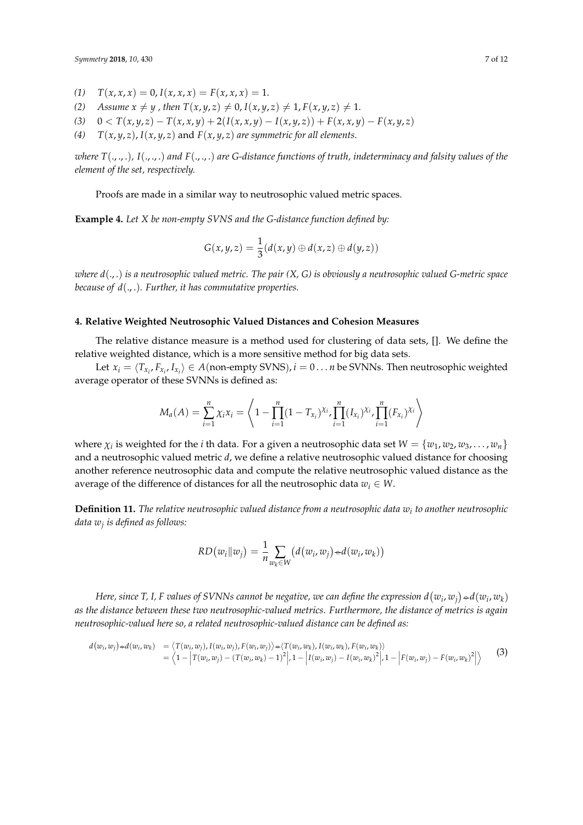- (1)  $T(x, x, x) = 0, I(x, x, x) = F(x, x, x) = 1.$
- *(2) Assume*  $x \neq y$ , *then*  $T(x, y, z) \neq 0$ ,  $I(x, y, z) \neq 1$ ,  $F(x, y, z) \neq 1$ .
- (3)  $0 < T(x,y,z) T(x,x,y) + 2(I(x,x,y) I(x,y,z)) + F(x,x,y) F(x,y,z)$
- (4)  $T(x, y, z)$ ,  $I(x, y, z)$  and  $F(x, y, z)$  *are symmetric for all elements.*

*where T*(., ., .)*, I*(., ., .) *and F*(., ., .) *are G-distance functions of truth, indeterminacy and falsity values of the element of the set, respectively.*

Proofs are made in a similar way to neutrosophic valued metric spaces.

**Example 4.** *Let X be non-empty SVNS and the G-distance function defined by:*

$$
G(x,y,z)=\frac{1}{3}(d(x,y)\oplus d(x,z)\oplus d(y,z))
$$

*where d*(., .) *is a neutrosophic valued metric. The pair (X, G) is obviously a neutrosophic valued G-metric space because of d*(., .)*. Further, it has commutative properties.*

## <span id="page-6-0"></span>**4. Relative Weighted Neutrosophic Valued Distances and Cohesion Measures**

The relative distance measure is a method used for clustering of data sets, []. We define the relative weighted distance, which is a more sensitive method for big data sets.

Let  $x_i = \langle T_{x_i}, F_{x_i}, I_{x_i} \rangle \in A$ (non-empty SVNS),  $i = 0 \dots n$  be SVNNs. Then neutrosophic weighted average operator of these SVNNs is defined as:

$$
M_a(A) = \sum_{i=1}^n \chi_i x_i = \left\langle 1 - \prod_{i=1}^n (1 - T_{x_i})^{\chi_i}, \prod_{i=1}^n (I_{x_i})^{\chi_i}, \prod_{i=1}^n (F_{x_i})^{\chi_i} \right\rangle
$$

 $M_a(A) = \sum_{i=1} \chi_i x_i = \left\langle 1 - \prod_{i=1} (1 - T_{x_i})^{\lambda_i} \right\rangle_{i=1} \prod_{i=1} (T_{x_i})^{\lambda_i} \left\rangle_{i=1}$ <br>where  $\chi_i$  is weighted for the *i* th data. For a given a neutrosophic data set  $W = \{w_1, w_2, w_3, \dots, w_n\}$ where  $\chi_i$  is weighted for the *i* th data. For a given a neutrosophic data set  $W = \{w_1, w_2, w_3, \ldots, w_n\}$  and a neutrosophic valued distance for choosing another reference neutrosophic data and compute the relative neutrosophic valued distance as the<br>average of the difference of distances for all the poutrosophic data  $\mathbf{z}_k \in M$ average of the difference of distances for all the neutrosophic data  $w_i \in W$ . W. phic valued distance for choosing<br>utrosophic valued distance as the<br> $w_i \in W$ .

**Definition 11.** The relative neutrosophic valued distance from a neutrosophic data  $w_i$  to another neutrosophic<br>data  $w_j$  is defined as follows:<br> $RD(w_i || w_j) = \frac{1}{n} \sum_{w_k \in W} (d(w_i, w_j) \rightarrow d(w_i, w_k))$ *data*  $w_j$  *is defined as follows: differentially is defined as follows.* 

$$
w_j
$$
 is defined as follows:  
\n
$$
RD(w_i||w_j) = \frac{1}{n} \sum_{w_k \in W} (d(w_i, w_j) \div d(w_i, w_k))
$$

 $\mu$  and  $\mu$ ,  $\mu$ ,  $\mu$  but the strip of interesting the negative, we can define the expression  $u(w_i, w_j) = u(w_i, w_k)$ <br>as the distance between these two neutrosophic-valued metrics. Furthermore, the distance of metrics is ag *neutrosophic-valued here so, a related n Reflective, the curres of SVINNs cannot be negative, we call these two neutrosophic-valued metrics. I*<br> *Rodued here so, a related neutrosophic-valued distant*<br>  $P(w_i, w_k) = \langle T(w_i, w_j), I(w_i, w_j), F(w_i, w_j) \rangle \rightarrow \langle T(w_i, w_k), I(w_i, w_k) \rangle = \langle 1$ Here, since T, I, F values of SVNNs cannot be negative, we can define the expression  $d(w_i, w_j)$  $\hat{d} = \frac{1}{n} \sum_{w_k \in W} \left( d(w_i, w_j) \! \triangleleft d(w_i, w_k) \right)$ <br>*innot be negative, we can define the expression d*( $w_i, w_j$ <br>*pphic-valued metrics. Furthermore, the distance of metrics*.  $\mathbf{s}$ .  $) \circ d(w_i, w_k)$ <br>rics is again  $(w_i, w_k)$ <br>s again define the expression  $d(w_i, w_j) \rightarrow d(w_i, w_k)$ <br>rthermore, the distance of metrics is again<br>can be defined as:  $(w_k)$ <br>*in k ii k*  $(w_k)$ Here, since T, I, F values of SVNNs cannot be negative, we can define the expression  $d(w_i, w_j) \rightarrow d(w_i, w_k)$  as the distance between these two neutrosophic-valued metrics. Furthermore, the distance of metrics is again neutroso  $I(w_i, w_k)$ <br>*is again*  $w_{w_k} \in W$ <br> **a** annot be negative, we can define the expression  $d(w_i, w_j) \rightarrow d(w_i, w_k)$ <br>
phic-valued metrics. Furthermore, the distance of metrics is again<br>
rosophic-valued distance can be defined as: *neutrosophic-valued here so, a related neutrosophic-valued distance can be defined as: distance of metrics is again neutrosophic-valued here so, a related neutrosophic-valued distance can be defined as: as the distinneutrosoph*<br>*d*( $w_i$ ,  $w_j$ ) between these two nearly<br>alued here so, a related<br> $w_i, w_k$  =  $\langle T(w_i, w_j), I(w_i, w_j) \rangle$ as the distance between these two neutrosophic-value<br>neutrosophic-valued here so, a related neutrosophic-va<br> $d(w_i, w_j) \rightarrow d(w_i, w_k) = \langle T(w_i, w_j), I(w_i, w_j), F(w_i, w_j) \rangle \rightarrow \langle T(w_i, w_j) - T(w_i, w_k) - T(\rangle)$ *distance between these two neutrosophic-valued metrics. Furthermor*<br> *ophic-valued here so, a related neutrosophic-valued distance can be de*<br>  $(a_i, w_j) \rightarrow d(w_i, w_k) = \langle T(w_i, w_j), I(w_i, w_j), F(w_i, w_j) \rangle \rightarrow \langle T(w_i, w_k), I(w_i, w_k), F(w_i, w_k) \rangle$ <br>  $= \langle$ ese two neutrosophic-valued metrics. Furthermore, the distance of<br>  $o, a$  related neutrosophic-valued distance can be defined as:<br>  $(a_i, w_j), I(w_i, w_j), F(w_i, w_j) \rightarrow \langle T(w_i, w_k), I(w_i, w_k), F(w_i, w_k) \rangle$ <br>  $- \left| T(w_i, w_j) - (T(w_i, w_k) - 1)^2 \right|, 1 - \left| I(w_i,$ 

neutrosophic-valued here so, a related neutrosophic-valued distance can be defined as:  
\n
$$
d(w_i, w_j) \rightarrow d(w_i, w_k) = \langle T(w_i, w_j), I(w_i, w_j), F(w_i, w_k), I(w_i, w_k), F(w_i, w_k) \rangle
$$
\n
$$
= \langle 1 - \left| T(w_i, w_j) - (T(w_i, w_k) - 1)^2 \right|, 1 - \left| I(w_i, w_j) - I(w_i, w_k)^2 \right|, 1 - \left| F(w_i, w_j) - F(w_i, w_k)^2 \right| \rangle
$$
\n(3)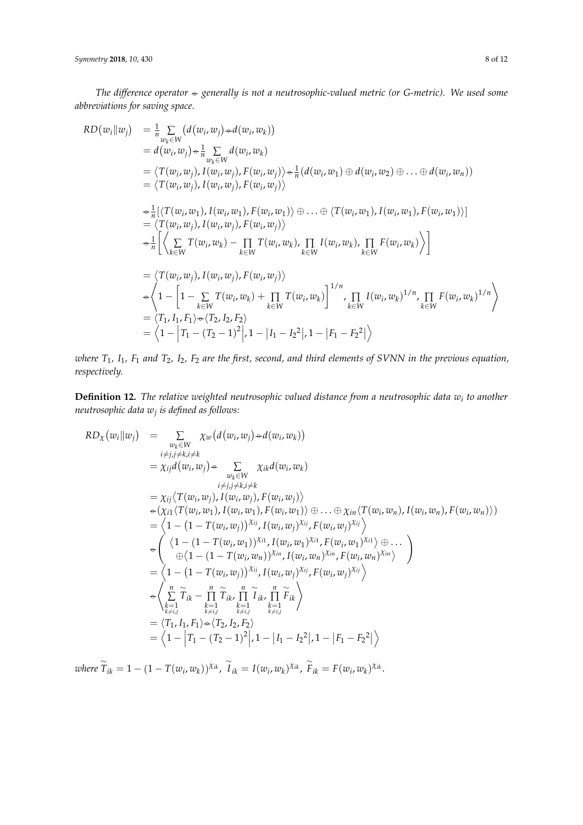and the state of the state of the state of the state of the state of the state of the state of the state of the<br>State of the state of the state of the state of the state of the state of the state of the state of the state

*The difference operator d w <i>d difference* operators *abbreviations* for *saving space*  $\div$  generally is not a neutrosophic-valued metric (or  $\circ$ . .<br>.<br>merally is not a neutrosoph  $10,430$ <br>The difference operator  $\leftrightarrow$  generally is not a neutrosophic-valued metric (or<br>abbreviations for saving space.<br> $RD(w_i||w_i) = \frac{1}{n} \sum_i (d(w_i, w_i) \div d(w_i, w_k))$ *ihe difference operator*  $\triangleleft$  *generally is not a neutrosophic-valued metric (or iations for saving space.*<br>*iations for saving space.*<br> $\begin{pmatrix} a_{111} & a_{122} \\ a_{212} & a_{222} \end{pmatrix}$   $\begin{pmatrix} d_{112} & a_{222} \\ a_{212} & a_{222} \end{pmatrix}$ *Therefore is not a neutrosop Symmetry* 2018, 10, 430<br>
The difference operator  $\leftrightarrow$  generally is not a neutrosophic-valued metric (or G-metriabbreviations for saving space.<br>  $RD(w_i||w_i) = \frac{1}{n} \sum_i (d(w_i, w_i) \leftrightarrow d(w_i, w_k))$ *generally is not a neutrosophic-valued metric (or G-metric). We used some* The difference operator  $\triangle$  generally is not a neutrosophic-valued metric (or G-metric). We used some abbreviations for saving space. *difference operator*  $\div$  *generally is not a neul*<br>*ions for saving space.* ence<br>r sat *Symmetry* **2018**, *10*, x FOR PEER REVIEW 8 of 12

The difference operator - generally is not a neutrosophic-valued metric (or G-metric). We used some  
\nabbreviations for saving space.  
\n
$$
RD(w_i||w_j) = \frac{1}{n} \sum_{w_k \in W} (d(w_i, w_j) + d(w_i, w_k))
$$
  
\n $= d(w_i, w_j) \in \frac{1}{n} \sum_{w_k \in W} (d(w_i, w_k))$   
\n $= \langle T(w_i, w_j), I(w_i, w_j), F(w_i, w_j) \rangle + \frac{1}{n} (d(w_i, w_1) \oplus d(w_i, w_2) \oplus ... \oplus d(w_i, w_n))$   
\n $= \langle T(w_i, w_j), I(w_i, w_j), F(w_i, w_j) \rangle$   
\n $\Leftrightarrow \frac{1}{n} [\langle T(w_i, w_1), I(w_i, w_1), F(w_i, w_1) \rangle \oplus ... \oplus \langle T(w_i, w_1), I(w_i, w_1), F(w_i, w_1) \rangle$   
\n $= \langle T(w_i, w_j), I(w_i, w_k) - \prod_{k \in W} T(w_i, w_k), \prod_{k \in W} I(w_i, w_k), \prod_{k \in W} F(w_i, w_k) \rangle$   
\n $= \langle T(w_i, w_j), I(w_i, w_k) - \prod_{k \in W} T(w_i, w_k), \prod_{k \in W} I(w_i, w_k) \rangle$   
\n $= \langle T(w_i, w_j), I(w_i, w_k) + \prod_{k \in W} T(w_i, w_k) \rangle$   
\n $= \langle T_1, I_1, F_1 \rangle + \langle T_2, I_2, F_2 \rangle$   
\n $= \langle T_1, I_1, F_1 \rangle + \langle T_2, I_2, F_2 \rangle$   
\n $= \langle 1 - |T_1 - (T_2 - 1)^2|, 1 - |I_1 - I_2^2|, 1 - |F_1 - F_2^2| \rangle$   
\nwhere  $T_1, I_1, F_1$  and  $T_2, I_2, F_2$  are the first, second, and third elements of SVM in the previous equation,  
\nrespectively.  
\nDefinition 12. The relative weighted neutrosplic valued distance from a neutrosplic data  $w_i$  to another  
\nneutrosplic data  $w_j$  is defined as follows:  
\n $RD_x(w_i||w_i) = \sum_{k$ 

*ire*  $T_1$ ,  $I_1$ ,  $F_1$  and  $T_2$ ,  $I_2$ ,  $F_2$  and *i j ectively.* 1 *k* 1 *respectively.*  $=\langle 1 - |T_1 - (T_2 - 1)^2 |$ ,  $1 - |I_1 - I_2^2|$ ,  $1 - |F_1 - F_2^2|$ )<br> *T*<sub>1</sub>, *I*<sub>1</sub>, *F*<sub>1</sub> and *T*<sub>2</sub>, *I*<sub>2</sub>, *F*<sub>2</sub> are the first, second, and third elements of SVNN in the previsely.<br> **The relative weighted neutrosophic valued**  $=\langle 1 - |T_1 - (T_2 - 1)^2 |$ ,  $1 - |I_1 - I_2^2|$ ,  $1 - |F_1 - F_2^2|$ )<br>  $I_1$ ,  $F_1$  and  $T_2$ ,  $I_2$ ,  $F_2$  are the first, second, and third elements of SVNN in the previous equation,<br>  $I_3$ .<br> **n 12.** The relative weighted neutrosoph  $rac{1}{2}$ *i*<sub>2</sub>, *F*<sub>2</sub> are the first, second, and<br>*re maishted neutrosomhic reli <u>*  $\frac{1}{2}$ </u>  $\omega$  *i* there  $T_1$ ,  $I_2$ ,  $F_3$ ,  $\alpha$  $\overline{C}$   $\overline{C}$   $\overline{C}$   $\overline{C}$   $\overline{C}$   $\overline{C}$   $\overline{C}$   $\overline{C}$   $\overline{C}$   $\overline{C}$   $\overline{C}$   $\overline{C}$   $\overline{C}$   $\overline{C}$   $\overline{C}$   $\overline{C}$   $\overline{C}$   $\overline{C}$   $\overline{C}$   $\overline{C}$   $\overline{C}$   $\overline{C}$   $\overline{C}$   $\overline{C}$   $\overline{$ *There*  $T_1$ ,  $I_1$ ,  $F_1$  and respectively.<br>**Definition 12.** The mentrosonhic data we *where*  $T_1$ ,  $I_1$ ,  $F_1$ <br>*respectively.*<br>**Definition 12.** *The difference operator generally is not a neutrosophic-valued metric (or G-metric). We used some*  I<sub>2</sub>, F<sub>2</sub> are the first, second, and third element are th

 $\mathsf{L}$ where  $T_1$ ,  $I_1$ ,  $F_1$  and  $T_2$ ,  $I_2$ ,  $F_2$  are the first, second, and third elements of<br>respectively.<br>**Definition 12.** The relative weighted neutrosophic valued distance from a<br>neutrosophic data  $w_j$  is defined as tere  $T_1$ ,  $I_1$ ,  $F_1$  and  $T_2$ ,  $I_2$ ,  $F_2$  are the first, second, and third elements of SVNN in the previct<br>pectively.<br>**efinition 12.** The relative weighted neutrosophic valued distance from a neutrosophic data univ  $= \langle 1 - |T_1 - (T_2 - 1)^2 |, 1 - |I_1 - I_2^2 |, 1 - |F_1 - F_2^2 | \rangle$ <br>
where  $T_1$ ,  $I_1$ ,  $F_1$  and  $T_2$ ,  $I_2$ ,  $F_2$  are the first, second, and third elements of SVNN in the previor<br> **12.** The relative weighted neutrosophic valued ,  $I_1$ ,  $F_1$  and  $T_2$ ,  $I_2$ ,  $F_2$  are the first, second, and third elements of SVNN in the p<br>ely.<br>**on 12.** The relative weighted neutrosophic valued distance from a neutrosophic d<br>ohic data  $w_j$  is defined as follows **12.** The relative weighted neu<br>: data w<sub>j</sub> is defined as follows: *T*<sub>1</sub>, *I*<sub>1</sub>, *F*<sub>1</sub> and *T*<sub>2</sub>, *I*<sub>2</sub>, *F*<sub>2</sub> are the firm<br>*ively.*<br>**tion 12.** The relative weighted net<br>sophic data  $w_j$  is defined as follows: **Definition 12.** The relative weighted neutrosophic valued distance from a neutrosoph<br>neutrosophic data w<sub>j</sub> is defined as follows:  $\mathbf{L}$  $T_1$ ,  $I_1$ ,  $F_1$  and  $T_2$ ,  $I_2$ ,  $F_2$  are the first, second, and third elements of SVNN in the ively.<br>ition 12. The relative weighted neutrosophic valued distance from a neutrosophic<br>sophic data  $w_j$  is defined as f **Definition 12.** *The relative weig*<br>*neutrosophic data*  $w_j$  *is defined as RD<sub>X</sub>*( $w_i || w_j$ ) =  $\sum_{w_k \in W} \chi_u$ here T<sub>1</sub>, I<sub>1</sub>, F<sub>1</sub> and T<sub>2</sub>, I<sub>2</sub>, F<sub>2</sub> are the first, second, and third elements of SVNN in the previous equation, spectively.<br>spectively.<br>**efinition 12.** The relative weighted neutrosophic valued distance from a neut **EXECUTE:** The relative detymed neutrosophic valued assumed from a neutrosophic data  $w_i$  to another<br>  $RD_{\chi}(w_i||w_j) = \sum_{\chi} \chi_w(d(w_i, w_j) \rightarrow d(w_i, w_k))$ ( , ), ( , ), ( , ) ... ( , ), ( , ), ( , ) *T w w I w w F w w T w w I w w F w w i j i j i j*  1 2 , , ... , *i i i n d w w d w w d w w n k i k* follows:<br>follows:<br> $\omega_a(d(w_i, w_j) \rightarrow d(w_i, w_k))$ respectively.<br> **Definition 12.** The r<br>
neutrosophic data  $w_j$  if<br>  $RD_{\chi}(w_i || w_j) =$ **Definition 12.** The<br> *neutrosophic data*  $w_j$ <br>  $RD_x(w_i||w_i) =$ *The respectively.*<br> **Definition 12.** The neutrosophic data w<br>  $RD_{\chi}(w_i||w_i)$ respectively.<br> **Definition 12.** The r<br>
neutrosophic data  $w_j$  i<br>  $RD_{\chi}(w_i || w_j)$  = *The respectively.*<br> **Definition 12.** The neutrosophic data w<br>  $RD_{\chi}(w_i||w_j)$  = *respectively.*<br> **Definition 12.** *The relative weighted neutrosophic valued distance from a neutro-<br>
neutrosophic data w<sub>j</sub> is defined as follows:<br>*  $RD_{\chi}(w_i||w_j) = \sum_{\chi} \chi_w(d(w_i, w_j) \rightarrow d(w_i, w_k))$  $\mathbf{Delta}$ *ruh*<br>*res*<br>**De**<br>*new* **Definition 12.** *The T*<sub>1</sub>, *I*<sub>1</sub>, *F*<sub>1</sub><br>*ively.*<br>**ifion 12.** *i*<br>*sophic data abbreviations for saving space.* respectively.<br> **Definition 12.**<br> *RD<sub>x</sub>* ( $w_i || w_j$ ) ive w<br>fined<br><sub>S</sub> *d w w*  $\frac{1}{2}$ **Definition 12.** The relative weighted neutrosophic valued distance from a neutrosophic data  $w_i$  to another and the run is defined as follows: *d w w i j* , *d w w i k* , *as the distance between these two neutrosophic-valued metrics. Furthermore, the*   $\overline{\phantom{a}}$ respectively.<br>**Definition 12.** The relative weighted neutrosophic valued distance from a neutrosophic data<br>neutrosophic data w<sub>i</sub> is defined as follows:

where T<sub>1</sub>, I<sub>1</sub>, F<sub>1</sub> and T<sub>2</sub>, I<sub>2</sub>, F<sub>2</sub> are the first, second, and third elements of SVM in the previous equation,  
respectively.  
\n**Definition 12.** The relative weighted neutrosphic valued distance from a neutrosphic data 
$$
w_i
$$
 to another  
neutrospilic data  $w_j$  is defined as follows:  
\n
$$
RD_X(w_i||w_j) = \sum_{\substack{w_i \in W \\ w_j \neq i, j \neq k, j \neq k}} \chi_w(d(w_i, w_j) \neq d(w_i, w_k))
$$
\n
$$
= \chi_{ij}d(w_i, w_j) + \sum_{\substack{w_i \in W \\ v_j \neq j, k, j \neq k, j \neq k, j \neq k, j \neq k, j \neq k, j \neq k, j \neq k, j \neq k, j \neq k, j \neq k, j \neq k, j \neq k, j \neq k, j \neq k, j \neq k, j \neq k, j \neq k, j \neq k, j \neq k, j \neq k, j \neq k, j \neq k, j \neq k, j \neq k, j \neq k, j \neq k, j \neq k, j \neq k, j \neq k, j \neq k, j \neq k, j \neq k, j \neq k, j \neq k, j \neq k, j \neq k, j \neq k, j \neq k, j \neq k, j \neq k, j \neq k, j \neq k, j \neq k, j \neq k, j \neq k, j \neq k, j \neq k, j \neq k, j \neq k, j \neq k, j \neq k, j \neq k, j \neq k, j \neq k, j \neq k, j \neq k, j \neq k, j \neq k, j \neq k, j \neq k, j \neq k, j \neq k, j \neq k, j \neq k, j \neq k, j \neq k, j \neq k, j \neq k, j \neq k, j \neq k, j \neq k, j \neq k, j \neq k, j \neq k, j \neq k, j \neq k, j \neq k, j \neq k, j \neq k, j \neq k, j \neq k, j \neq k, j \neq k, j \neq k, j \neq k, j \neq k, j \ne
$$

*if*  $I_{ik} - I - I$  $\nu$ *where*  $I_{ik} = I - (I - I(w_i, w_k))^{\lambda_{ik}}$ ,  $I_{ik} = I(w_i, w_k)^{\lambda_{ik}}$ ,  $F_{ik} = F(w_i, w_k)^{\lambda_{ik}}$ .  $\sum_{i=1}^{\infty} \widetilde{T}_{ik} = 1 - (1 - T(w_i, w_k))^{Xik}$ where  $\widetilde{T}_{ik} = 1 - (1 - T(w_i, w_k))^{\chi_{ik}}$ iere  $\stackrel{\sim}{T}_{ik}$  : where  $\widetilde{T}_{ik} = 1 - (1 - T)^{i}$ *ohere*  $\stackrel{\sim}{T}_{ik}$ where  $\widetilde{T}_{ik} = 1 - (1 - T(w_i, w_k))^{\chi_{ik}}$ ,  $\widetilde{T}_{ik} = I(w_i, w_k)$ 1/ 1/ where  $\widetilde{T}_{ik} = 1 - (1 - T(w_i, w_k))^{\chi_{ik}}$ ,  $\widetilde{I}_{ik} = I(w_i, w_k)^{\chi_{ik}}$ ,  $\widetilde{F}_{ik} = F(w_i, w_k)$ *n n*  $\sqrt{2 + \sum_{i=1}^{n} (1 - \sum_{i=1}^{n} (w_i, w_k))}$ <sup>Xik</sup>  $T_{ik} = 1 - (1 - T(w_i, w_k))^{\lambda_{ik}}$ ,  $T_{ik} = I(w_i, w_k)^{\lambda_{ik}}$ ,  $F_{ik} = I$  $1 - (1 - T(w_i, w_k))^{\chi_{ik}}, \ \widetilde{I}_{ik} = I(w_i, w_k)^{\chi_{ik}}, \ \widetilde{F}_{ik} = F(w_i, w_k)^{\chi_{ik}}.$ where  $\tilde{T}_{ik} = 1 - (1 - T(w_i, w_k))^{\chi_{ik}}$ ,  $\tilde{T}_{ik} = I(w_i, w_k)^{\chi_{ik}}$ ,  $\tilde{F}_{ik} = F(w_i, w_k)^{\chi_{ik}}$ .  $-(1 - T(w_i, w_k))^{\chi_{ik}}$ ,  $\widetilde{I}_{ik} = I(w_i, w_k)$  $(1 - T(w_i, w_k))^{\lambda_{ik}}$ ,  $I_{ik} = I(w_i, w_k)^{\lambda_{ik}}$ ,  $F_{ik} = F(w_i, w_k)^{\lambda_{ik}}$ .  $\sum_{i,k}$  = 1 - (1 - *T*(*w*<sub>*i*</sub>, *w*<sub>*k*</sub>))<sup>*X*<sub>*ik*</sub></sup>,  $\sum_{i}$  *i*<sub>*k*</sub> = *i*  $(T_{ik} = 1 - (1 - T(w_i, w_k))^{\chi_{ik}}$ ,  $T_{ik} = I(w_i, w_k)^{\chi_{ik}}$ ,  $\widetilde{F}_{ik} = F(w_i, w_k)^{\chi_{ik}}$ .  $= \begin{cases} 1, & \text{where } \widetilde{T}_{ik} = 1 - (1 - 7), \end{cases}$ *i j i j i j*  $=\frac{1}{T_{ik}}$  = 1 – (1 –  $rac{1}{2}$ where  $T_{ik} = 1 - (1 - T(w_i, w_k))^{\chi_{ik}}$ ,  $\bar{I}_{ik} = I(w_i, w_k)^{\chi_{ik}}$ ,  $\bar{F}_{ik} = F(w_i, w_k)^{\chi_{ik}}$ .  $(-1)^2$ ,  $1 - |I_1 - I_2|^2$ ,  $1 - |F_1 - F_2|^2$ <br>  $\widetilde{I}_{ik} = I(w_i, w_k)^{\chi_{ik}}$ ,  $\widetilde{F}_{ik} = F(w_i, w_k)^{\chi_{ik}}$  $= \langle 1 - |T_1 - (T_2 - 1)^2 |, 1 - |I_1 - I_2^2 |, 1 - |F_1 - F_2^2 | \rangle$ <br>
where  $\widetilde{T}_{ik} = 1 - (1 - T(w_i, w_k))^{\chi_{ik}}$ ,  $\widetilde{I}_{ik} = I(w_i, w_k)^{\chi_{ik}}$ ,  $\widetilde{F}_{ik} = F(w_i, w_k)^{\chi_{ik}}$ . *where*  $T_{ik} = 1 - (1 \frac{1}{k}$ ,  $\frac{1}{k}$ ,  $\frac{1}{k}$  $i = (1$  $\frac{1}{2}$  *T*  $\frac{1}{2}$   $\frac{1}{2}$   $\frac{1}{2}$   $\frac{1}{2}$   $\frac{1}{2}$   $\frac{1}{2}$   $\frac{1}{2}$   $\frac{1}{2}$   $\frac{1}{2}$   $\frac{1}{2}$   $\frac{1}{2}$   $\frac{1}{2}$   $\frac{1}{2}$   $\frac{1}{2}$   $\frac{1}{2}$   $\frac{1}{2}$   $\frac{1}{2}$   $\frac{1}{2}$   $\frac{1}{2}$   $\frac{1}{2}$   $\frac{1}{2$  $\mathcal{L}_{lk}$  ,  $\mathcal{L}(\omega_l, \omega_k)$  ,  $\mathcal{L}_{lk}$  ,  $\mathcal{L}(\omega_l, \omega_k)$  $\frac{d}{dx} \left( \alpha \frac{d}{dx} \right)$  $I(w_i, w_k)$ ,  $I_{ik} = I(w_i, w_k)$ . , *RD where where where when*  $\frac{1}{2}$  is  $\frac{1}{2}$  if  $\frac{1}{2}$  is  $\frac{1}{2}$  if  $\frac{1}{2}$  is  $\frac{1}{2}$  if  $\frac{1}{2}$  if  $\frac{1}{2}$  is  $\frac{1}{2}$  if  $\frac{1}{2}$  if  $\frac{1}{2}$  if  $\frac{1}{2}$  if  $\frac{1}{2}$  if  $\frac{1}{2}$  if  $\frac{1}{2}$  where  $\widetilde{T}_{ik} = 1 - (1 - T(w_i, w_k))^{\chi_{ik}}, \widetilde{T}_{ik} = I(w_i, w_k)^{\chi_{ik}}, \widetilde{F}_{ik} = F(w_i, w_k)^{\chi_{ik}}.$  $$  $\widetilde{I}_{ik} = I(w_i, w_k)^{\chi_{ik}}$  $\widetilde{F}_{ik} = F(w_i, w_k)^{\chi_{ik}}.$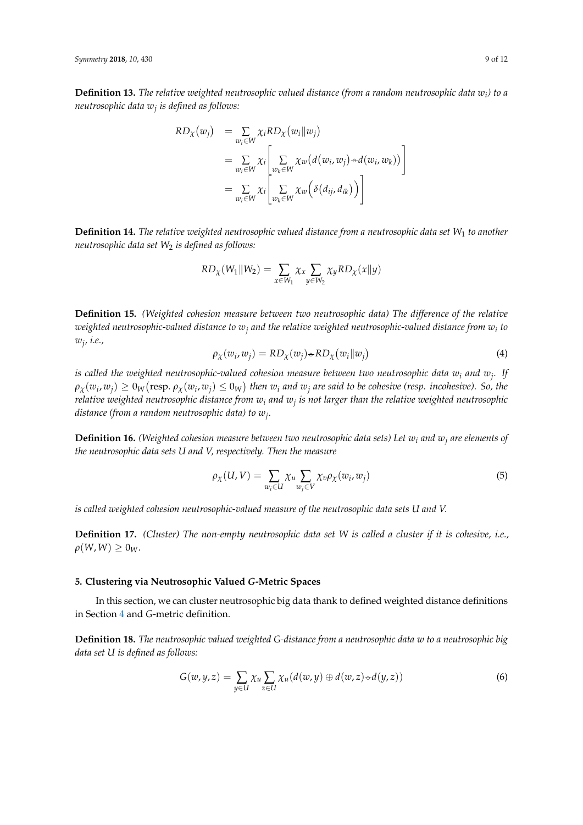**Definition 13.** The relative weighted neutrosophic valued distance (from a random neutrosophic data  $w_i$ ) to a *neutrosophic data*  $w_j$  *is defined as follows: as the distance between these two neutrosophic-valued metrics. Furthermore, the* 

neutrosophic data 
$$
w_j
$$
 is defined as follows:  
\n
$$
RD_{\chi}(w_j) = \sum_{w_i \in W} \chi_i RD_{\chi}(w_i || w_j)
$$
\n
$$
= \sum_{w_i \in W} \chi_i \left[ \sum_{w_k \in W} \chi_w(d(w_i, w_j) \rightarrow d(w_i, w_k)) \right]
$$
\n
$$
= \sum_{w_i \in W} \chi_i \left[ \sum_{w_k \in W} \chi_w(\delta(d_{ij}, d_{ik})) \right]
$$

**finition 14.** The relative weighted neutr *he relative weighted neutrosophic valued distance fro*<br> *set*  $W_2$  *is defined as follows:*<br>  $RD_\chi(W_1 || W_2) = \sum_{x \in W_1} \chi_x \sum_{y \in W_2} \chi_y R L$ **Definition 14.** *The relative weighted neutrosophic valued distance from a neutrosophic data set W*<sup>1</sup> *to another* 1 hted neutrosophic valued distance from a neutrosophic data set V<br>ed as follows: *w W*

Definition 15. (Weighted coherence between two neutrosophic data) The difference of the relative  
\nresophic and set 
$$
W_2
$$
 is defined as follows:

\n
$$
RD_X(W_1 || W_2) = \sum_{x \in W_1} \chi_x \sum_{y \in W_2} \chi_y R D_X(x || y)
$$
\nDefinition 15. (Weighted cohesion measure between two neutrosophic data) The difference of the relative  
\nresophed neutracombic replaced by  $Q$  and the relative weighted neutracombic and distance from  $Q$  to the

 $\sum_{j \in N_2}^{N_1}$ <br>easure between two neutrosophic to  $w_j$  and the relative weighted neut:<br> $\omega_i, w_j) = RD_{\chi}(w_j) \text{---} RD_{\chi}(w_i \| w_j)$ *Weighted cohesion measure between two neutrosophic data) The difference of the relative*<br> *iphic-valued distance to*  $w_j$  *and the relative weighted neutrosophic-valued distance from*  $w_i$  *to*<br>  $\rho_{\infty}(w_i, w_i) = RD_{\infty}(w_i) \$ *T w w I w w F w w* **Definition 15.** (Weighted cohesion measure between two neutrosophic data) The difference of the relative<br>weighted neutrosophic-valued distance to  $w_j$  and the relative weighted neutrosophic-valued distance from  $w_i$  to<br> $\frac{1}{2}$ Frence of the relative<br>d distance from  $w_i$  to<br>(4) measure between two neutrosophic a<br> *e* to  $w_j$  and the relative weighted neut:<br>  $(w_i, w_j) = RD_\chi(w_j) \rightarrow RD_\chi(w_i || w_j)$ <br>
valued cohesion measure between two<br>  $Z(w_i)$  then  $w_i$  and  $w_i$  are said to be a *erence of the relative*<br>*id distance from w<sub>i</sub> to*<br>(4) *difference of the relative*<br>*-valued distance from*  $w_i$  *to*<br>(4) % of the relative<br>nce from  $w_i$  to<br>(4) weighted neutrosophic-valued distance to  $w_j$  and the relative weighted neutrosophic-valued distance from  $w_i$  to  $w_j$ , i.e.,  $\rho_\chi(w_i,w_j)=RD_\chi(w_j) {\triangleleft} RD_\chi(w_i \| w_j)$  (4) *wj , i.e.,* weighted neutrosophic-valued distance to  $w_j$  and the relative weighted neutrosophic-valued distance from  $w_i$  to  $w_j$ , i.e.,<br> $\rho_X(w_i, w_j) = RD_X(w_j) \cdot R D_X(w_i || w_j)$  (4)<br>is called the weighted neutrosophic-valued cohesion measure be

$$
\rho_{\chi}(w_i, w_j) = RD_{\chi}(w_j) \oplus RD_{\chi}(w_i || w_j)
$$
\n(4)

 $\rho_X(w_i, w_j) = RD_X(w_j) \rightarrow RD_X(w_i || w_j)$  (4)<br> *hted neutrosophic-valued cohesion measure between two neutrosophic data w<sub>i</sub> and w<sub>j</sub>. If<br>
(resp.*  $\rho_X(w_i, w_i) \leq 0_W$ *) then w<sub>i</sub> and w<sub>i</sub> are said to be cohesive (resp. incohesive). So, the* **Tesp.**  $\rho_X(\omega_i, \omega_j) \leq 0$ <sub>W</sub>) then  $\omega_i$  and  $\omega_j$  are sum to be conestoe (resp. mconestoe). So, the neutrosophic distance from  $\omega_i$  and  $\omega_j$  is not larger than the relative weighted neutrosophic andom neutrosophic dat ل<br>مە cohesion measure between two neutrosophic data  $w_i$  and  $w_j$ . If<br>then  $w_i$  and  $w_j$  are said to be cohesive (resp. incohesive). So, the<br>i  $w_i$  and  $w_j$  is not larger than the relative weighted neutrosophic<br>to  $w_j$ .  $\sigma_{W}$ ) then  $w_i$  and  $w_j$  are sum to be conesive (resp. inconesive). So, the *ie* from  $w_i$  and  $w_j$  is not larger than the relative weighted neutrosophic data) to  $w_j$ .<br>data) to  $w_j$ .<br>asure between two neutrosophic dat d cohesion measure between two neutrosophic data  $w_i$  and  $w_j$ . If<br>
(a) then  $w_i$  and  $w_j$  are said to be cohesive (resp. incohesive). So, the<br>
com  $w_i$  and  $w_j$  is not larger than the relative weighted neutrosophic<br>
(b) on  $w_i$  and  $w_j$  is not larger than the relative weighted neutrosophic<br>
to  $w_j$ .<br>
to  $w_j$ .<br>
to  $w_j$ .<br>
to  $w_j$ .<br>  $\Rightarrow$   $\sum_{w_i \in U} x_w p_\chi(w_i, w_j)$ <br>  $\Rightarrow$   $\sum_{w_i \in U} x_w p_\chi(w_i, w_j)$  (5) *The difference of the difference operator given*  $u_1$  *and*  $u_j$  *is not anger than the realise every metric explicit difference (from a random neutrosophic data) to*  $w_j$ *. is called the weighted neutrosophic-valued cohesion measure between two neutrosophic data w<sup>i</sup> and w<sup>j</sup> . If relative weighted neutrosophic distance from w<sup>i</sup> and w<sup>j</sup> is not larger than the relative weighted neutrosophic*

<sup>ic ce</sup>ry.<br>between two neutrosophic data<br>rely. Then the measure reigntea conesion n<br>-<sup>1</sup>- - -<sup>1</sup>- <sup>1</sup>- - - -<sup>1-</sup> 1- b to  $w_j$ .<br>
e between two neutrosophic data sets) Let  $w_i$  and  $w_j$  are elements of<br>
ively. Then the measure<br>  $W'$ ) =  $\sum_{i} \chi_u \sum_{i} \chi_v \rho_{\chi}(w_i, w_j)$  (5) ppne aaa seis ee and v, respectively  $\overline{\phantom{a}}$ *e* weighted neutrosophic aistance from  $w_i$  and  $w_j$  is<br> *ie* (from a random neutrosophic data) to  $w_j$ .<br> **ition 16.** (Weighted cohesion measure between two neutrosophic data sets U and V, respectively. Then the neutroso sets G and V, respectively. Then the meas *d conesion*<br>*U* and *V*,<br>*r* neutrosc and **Definition 16.** *(Weighted cohesion measure between two neutrosophic data sets) Let w<sup>i</sup> and w<sup>j</sup> are elements of the neutrosophic data sets U and V, respectively. Then the measure*

**ition 16.** (Weighted cohesion measure between two neutrosophic data sets) Let 
$$
w_i
$$
 and  $w_j$  are elements of  
utrosophic data sets U and V, respectively. Then the measure  

$$
\rho_{\chi}(U, V) = \sum_{w_i \in U} \chi_u \sum_{w_j \in V} \chi_v \rho_{\chi}(w_i, w_j)
$$
(5)  
d weighted cohesion neutrosophic-valued measure of the neutrosophic data sets U and V.

 *i j n* ued *is called weighted cohesion neutrosophic-valued measure of the neutrosophic data sets U and V. Symmetry* **2018**, *10*, x FOR PEER REVIEW 8 of 12

 $w_i ∈ U$  *w<sub>j</sub>∈V*<br>phic-valued measure of the neutrosophic<br>u-empty neutrosophic data set W is cal  $\frac{1}{\sqrt{2}}$ 1/ 1/ y neutrosophic data set W is called a cluster if it is cohesive, i.e.,<br>**d G-Metric Spaces** *n n i k i k i k i k* uea measure of the neutrosophic aata sets U ana V.<br>neutrosophic data set W is called a cluster if it is cohesive<br>G-**Metric Spaces**<br>sophic biv data thank to defined weighted distance definit sure of the neutrosophic data sets U and V.<br>
ophic data set W is called a cluster if it is cohesive, i.e.,<br>
ic Spaces  $p_X(\alpha, v) = \sum_{w_i \in U} \chi_u \sum_{w_j \in V} \chi_v$ <br>eutrosophic-valued measure of the non-empty neutrosophic data s rosophic-valued measure of the<br>non-empty neutrosophic data<br>  $P_X(\alpha, v) = \sum_{w_i \in U} \chi_u \sum_{w_j \in V} v_j$ <br>neutrosophic-valued measure of the<br>The non-empty neutrosophic date te d weighted cohesion neutrosophic-valued measure of the neutrosophic data sets U and V.<br>**ition 17.** (Cluster) The non-empty neutrosophic data set W is called a cluster if it is cohesive, i.e.,<br>N) > 0<sub>W</sub>.  $\overline{1}$ (5)<br>ta sets U and V.<br>a cluster if it is cohesive, i.e., eutrosophic-valued measure of the neutrosophic data sets U and V.<br><sup>7</sup>he non-empty neutrosophic data set W is called a cluster if it is cohesive, i.e.,<br>**2011** The Valued G-Matric Spaces *i j i j i j d w w d w w d w w n neutrosophic-valued measure of the*<br>*The non-empty neutrosophic data*<br>**Prophic Valued G-Metric Spaces** (5)<br>Express U and V.<br>Ster if it is cohesive, i.e., **Definition 17.** *(Cluster)* The non-empty neutrosophic data set W is called a cluster if it is cohesive, i.e.,  $\rho(W, W) \ge 0_W$ .  $\rho(W, W) \geq 0_W$ .

## *k W k W k W k W* Expansion of the contract of the contract of the contract of the contract of the contract of the contract of the contract of the contract of the contract of the contract of the contract of the contract of the contract of t **5. Clustering via Neutrosophic Valued** *G***-Metric Spaces**

ed G-M<br><sub>l</sub>trosoph **ued G-Metric Spaces**<br>eutrosophic big data tha<br>. l, we can cluster i<br>breakded definition S**paces**<br>data tha ta thank to defined weighted d<br>2<br>22 from a noutreamhic data su t tering via Neutrosophic Valued *G*-Metric Spaces<br>this section, we can cluster neutrosophic big data thank to defined weighted distance definitions<br>on 4 and *G*-metric definition.<br>ion 18. *The neutrosophic valued weighted G*  $cl$ ( , ), ( , ), ( , ) ... ( , ), ( , ), ( , ) p**hic Valued G-Metric Spaces**<br>luster neutrosophic big data thank to defined weighted distance definitions<br>efinition.<br>*hic valued weighted G-distance from a neutrosophic data w to a neutrosophic big* . *n* in Section [4](#page-6-0) and *G*-metric definition. **Sophic Valued G-Metric Spaces**<br>**T** cluster neutrosophic big data tha<br>definition.<br>*Thic valued weighted G-distance from*: hic Valued *G*-Metric Spaces<br>uster neutrosophic big data thank to defined weighted distance definitions<br>finition. In this section, we can cluster neutrosophic big data thank to defined weighted distance definitions<br>ction 4 and *C*-metric definition

 $AC$  distant 1 2 1 2 1 2 *i j i j i j T*1 *F*<sub>1</sub>  $\frac{1}{2}$ **ion 18.** The neutr data set U is defined as follows:<br> **distance of metrics is a related as:** d weighted G-distance from a neutrosophic data w to a neutrosophic<br> $\sum_{u \in H} \chi_u \sum_{z \in H} \chi_u(d(w,y) \oplus d(w,z) \circ d(y,z))$ inition.<br>
ic valued weighted G-distance from a neutrosophic data w to a neutrosophic big<br>  $u(z) = \sum x_u \sum x_u (d(w, u) \oplus d(w, z) \oplus d(u, z))$  (6) ic valued weighted G-distance from a neutrosophic data w to a neutrosophic big<br>  $y,z) = \sum_{y \in U} \chi_u \sum_{z \in U} \chi_u(d(w,y) \oplus d(w,z) \rightarrow d(y,z))$  (6) **Definition 18.** The neutrosophic valued weighted G-distance from a neutrosophic data w to a neutrosophic big<br>data set U is defined as follows:<br> $G(w, y, z) = \sum_{y \in U} \chi_u \sum_{z \in U} \chi_u(d(w, y) \oplus d(w, z) \rightarrow d(y, z))$  (6)

In this section, we can cluster neutrosophic big data thank to defined weighted distance definitions  
lection 4 and G-metric definition.  
**inition 18.** The neutroophic valued weighted G-distance from a neutroophic data w to a neutroophic big  
a set U is defined as follows:  

$$
G(w, y, z) = \sum_{y \in U} \chi_u \sum_{z \in U} \chi_u(d(w, y) \oplus d(w, z) \rightarrow d(y, z))
$$
(6)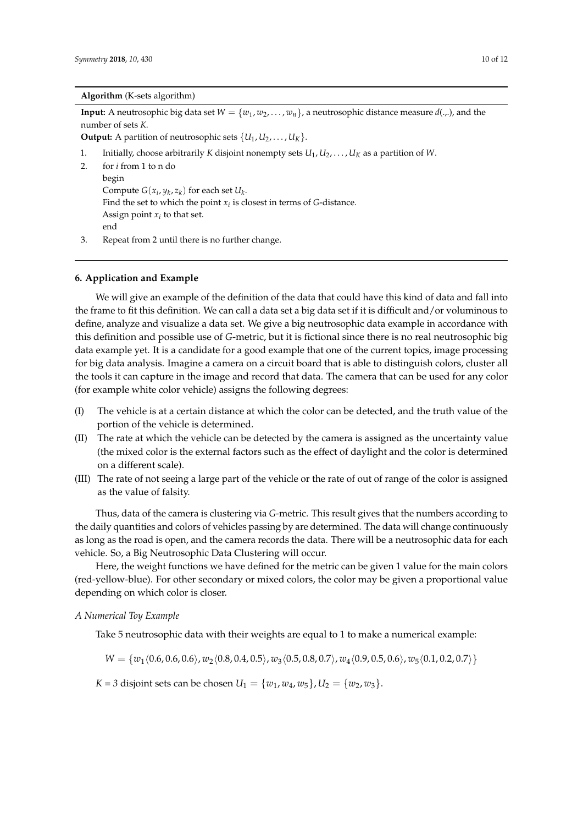#### **Algorithm** (K-sets algorithm)

**Input:** A neutrosophic big data set  $W = \{w_1, w_2, \ldots, w_n\}$ , a neutrosophic distance measure  $d(\ldots)$ , and the number of sets *K*.

**Output:** A partition of neutrosophic sets  $\{U_1, U_2, \ldots, U_K\}$ .

- 1. Initially, choose arbitrarily *K* disjoint nonempty sets *U*<sup>1</sup> , *U*2, . . . , *U<sup>K</sup>* as a partition of *W*.
- 2. for *i* from 1 to n do begin Compute  $G(x_i, y_k, z_k)$  for each set  $U_k$ . Find the set to which the point  $x_i$  is closest in terms of *G*-distance. Assign point  $x_i$  to that set. end
- 3. Repeat from 2 until there is no further change.

## <span id="page-9-0"></span>**6. Application and Example**

We will give an example of the definition of the data that could have this kind of data and fall into the frame to fit this definition. We can call a data set a big data set if it is difficult and/or voluminous to define, analyze and visualize a data set. We give a big neutrosophic data example in accordance with this definition and possible use of *G*-metric, but it is fictional since there is no real neutrosophic big data example yet. It is a candidate for a good example that one of the current topics, image processing for big data analysis. Imagine a camera on a circuit board that is able to distinguish colors, cluster all the tools it can capture in the image and record that data. The camera that can be used for any color (for example white color vehicle) assigns the following degrees:

- (I) The vehicle is at a certain distance at which the color can be detected, and the truth value of the portion of the vehicle is determined.
- (II) The rate at which the vehicle can be detected by the camera is assigned as the uncertainty value (the mixed color is the external factors such as the effect of daylight and the color is determined on a different scale).
- (III) The rate of not seeing a large part of the vehicle or the rate of out of range of the color is assigned as the value of falsity.

Thus, data of the camera is clustering via *G*-metric. This result gives that the numbers according to the daily quantities and colors of vehicles passing by are determined. The data will change continuously as long as the road is open, and the camera records the data. There will be a neutrosophic data for each vehicle. So, a Big Neutrosophic Data Clustering will occur.

Here, the weight functions we have defined for the metric can be given 1 value for the main colors (red-yellow-blue). For other secondary or mixed colors, the color may be given a proportional value depending on which color is closer.

## *A Numerical Toy Example*

Take 5 neutrosophic data with their weights are equal to 1 to make a numerical example:

 $W = \{w_1\langle 0.6, 0.6, 0.6\rangle, w_2\langle 0.8, 0.4, 0.5\rangle, w_3\langle 0.5, 0.8, 0.7\rangle, w_4\langle 0.9, 0.5, 0.6\rangle, w_5\langle 0.1, 0.2, 0.7\rangle\}$ 

*K* = 3 disjoint sets can be chosen  $U_1 = \{w_1, w_4, w_5\}, U_2 = \{w_2, w_3\}.$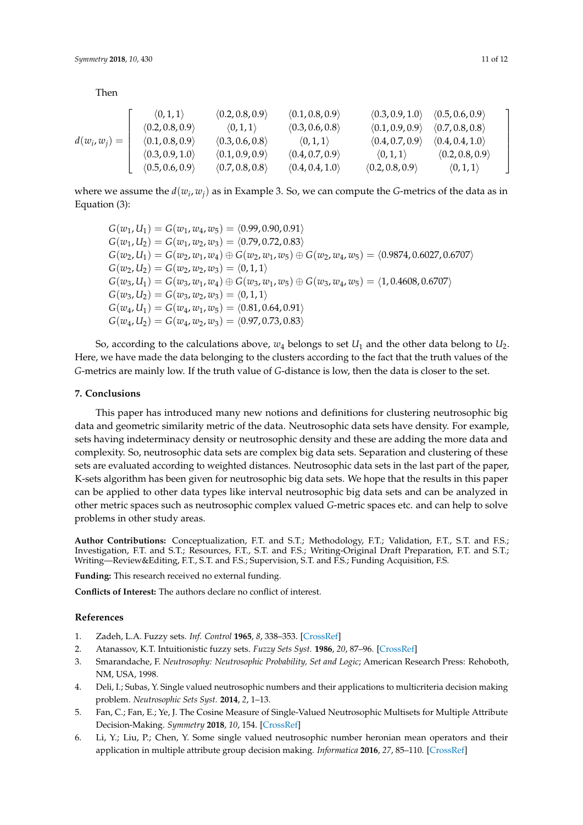Then

|                 | $\langle 0,1,1\rangle$          | $\langle 0.2, 0.8, 0.9 \rangle$ | $\langle 0.1, 0.8, 0.9 \rangle$ | $\langle 0.3, 0.9, 1.0 \rangle$ | (0.5, 0.6, 0.9)                 |  |
|-----------------|---------------------------------|---------------------------------|---------------------------------|---------------------------------|---------------------------------|--|
|                 | $\langle 0.2, 0.8, 0.9 \rangle$ | $\langle 0,1,1\rangle$          | $\langle 0.3, 0.6, 0.8 \rangle$ | (0.1, 0.9, 0.9)                 | $\langle 0.7, 0.8, 0.8 \rangle$ |  |
| $d(w_i, w_j) =$ | (0.1, 0.8, 0.9)                 | $\langle 0.3, 0.6, 0.8 \rangle$ | $\langle 0,1,1\rangle$          | $\langle 0.4, 0.7, 0.9 \rangle$ | (0.4, 0.4, 1.0)                 |  |
|                 | $\langle 0.3, 0.9, 1.0 \rangle$ | (0.1, 0.9, 0.9)                 | $\langle 0.4, 0.7, 0.9 \rangle$ | $\langle 0,1,1 \rangle$         | (0.2, 0.8, 0.9)                 |  |
|                 | (0.5, 0.6, 0.9)                 | $\langle 0.7, 0.8, 0.8 \rangle$ | $\langle 0.4, 0.4, 1.0 \rangle$ | (0.2, 0.8, 0.9)                 | $\langle 0,1,1\rangle$          |  |

where we assume the  $d(w_i, w_j)$  as in Example 3. So, we can compute the *G*-metrics of the data as in Equation (3):

$$
G(w_1, U_1) = G(w_1, w_4, w_5) = \langle 0.99, 0.90, 0.91 \rangle
$$
  
\n
$$
G(w_1, U_2) = G(w_1, w_2, w_3) = \langle 0.79, 0.72, 0.83 \rangle
$$
  
\n
$$
G(w_2, U_1) = G(w_2, w_1, w_4) \oplus G(w_2, w_1, w_5) \oplus G(w_2, w_4, w_5) = \langle 0.9874, 0.6027, 0.6707 \rangle
$$
  
\n
$$
G(w_2, U_2) = G(w_2, w_2, w_3) = \langle 0, 1, 1 \rangle
$$
  
\n
$$
G(w_3, U_1) = G(w_3, w_1, w_4) \oplus G(w_3, w_1, w_5) \oplus G(w_3, w_4, w_5) = \langle 1, 0.4608, 0.6707 \rangle
$$
  
\n
$$
G(w_3, U_2) = G(w_3, w_2, w_3) = \langle 0, 1, 1 \rangle
$$
  
\n
$$
G(w_4, U_1) = G(w_4, w_1, w_5) = \langle 0.81, 0.64, 0.91 \rangle
$$
  
\n
$$
G(w_4, U_2) = G(w_4, w_2, w_3) = \langle 0.97, 0.73, 0.83 \rangle
$$

So, according to the calculations above,  $w_4$  belongs to set  $U_1$  and the other data belong to  $U_2$ . Here, we have made the data belonging to the clusters according to the fact that the truth values of the *G*-metrics are mainly low. If the truth value of *G*-distance is low, then the data is closer to the set.

## **7. Conclusions**

This paper has introduced many new notions and definitions for clustering neutrosophic big data and geometric similarity metric of the data. Neutrosophic data sets have density. For example, sets having indeterminacy density or neutrosophic density and these are adding the more data and complexity. So, neutrosophic data sets are complex big data sets. Separation and clustering of these sets are evaluated according to weighted distances. Neutrosophic data sets in the last part of the paper, K-sets algorithm has been given for neutrosophic big data sets. We hope that the results in this paper can be applied to other data types like interval neutrosophic big data sets and can be analyzed in other metric spaces such as neutrosophic complex valued *G*-metric spaces etc. and can help to solve problems in other study areas.

**Author Contributions:** Conceptualization, F.T. and S.T.; Methodology, F.T.; Validation, F.T., S.T. and F.S.; Investigation, F.T. and S.T.; Resources, F.T., S.T. and F.S.; Writing-Original Draft Preparation, F.T. and S.T.; Writing—Review&Editing, F.T., S.T. and F.S.; Supervision, S.T. and F.S.; Funding Acquisition, F.S.

**Funding:** This research received no external funding.

**Conflicts of Interest:** The authors declare no conflict of interest.

### **References**

- <span id="page-10-0"></span>1. Zadeh, L.A. Fuzzy sets. *Inf. Control* **1965**, *8*, 338–353. [\[CrossRef\]](http://dx.doi.org/10.1016/S0019-9958(65)90241-X)
- <span id="page-10-1"></span>2. Atanassov, K.T. Intuitionistic fuzzy sets. *Fuzzy Sets Syst.* **1986**, *20*, 87–96. [\[CrossRef\]](http://dx.doi.org/10.1016/S0165-0114(86)80034-3)
- <span id="page-10-2"></span>3. Smarandache, F. *Neutrosophy: Neutrosophic Probability, Set and Logic*; American Research Press: Rehoboth, NM, USA, 1998.
- <span id="page-10-3"></span>4. Deli, I.; Subas, Y. Single valued neutrosophic numbers and their applications to multicriteria decision making problem. *Neutrosophic Sets Syst.* **2014**, *2*, 1–13.
- 5. Fan, C.; Fan, E.; Ye, J. The Cosine Measure of Single-Valued Neutrosophic Multisets for Multiple Attribute Decision-Making. *Symmetry* **2018**, *10*, 154. [\[CrossRef\]](http://dx.doi.org/10.3390/sym10050154)
- 6. Li, Y.; Liu, P.; Chen, Y. Some single valued neutrosophic number heronian mean operators and their application in multiple attribute group decision making. *Informatica* **2016**, *27*, 85–110. [\[CrossRef\]](http://dx.doi.org/10.15388/Informatica.2016.78)